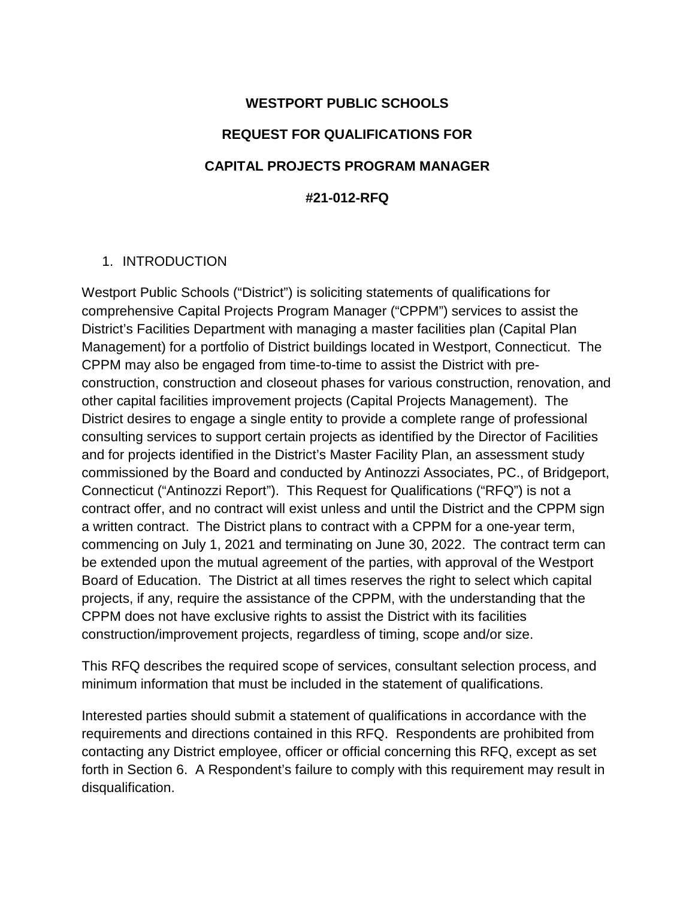# **WESTPORT PUBLIC SCHOOLS REQUEST FOR QUALIFICATIONS FOR CAPITAL PROJECTS PROGRAM MANAGER #21-012-RFQ**

## 1. INTRODUCTION

Westport Public Schools ("District") is soliciting statements of qualifications for comprehensive Capital Projects Program Manager ("CPPM") services to assist the District's Facilities Department with managing a master facilities plan (Capital Plan Management) for a portfolio of District buildings located in Westport, Connecticut. The CPPM may also be engaged from time-to-time to assist the District with preconstruction, construction and closeout phases for various construction, renovation, and other capital facilities improvement projects (Capital Projects Management). The District desires to engage a single entity to provide a complete range of professional consulting services to support certain projects as identified by the Director of Facilities and for projects identified in the District's Master Facility Plan, an assessment study commissioned by the Board and conducted by Antinozzi Associates, PC., of Bridgeport, Connecticut ("Antinozzi Report"). This Request for Qualifications ("RFQ") is not a contract offer, and no contract will exist unless and until the District and the CPPM sign a written contract. The District plans to contract with a CPPM for a one-year term, commencing on July 1, 2021 and terminating on June 30, 2022. The contract term can be extended upon the mutual agreement of the parties, with approval of the Westport Board of Education. The District at all times reserves the right to select which capital projects, if any, require the assistance of the CPPM, with the understanding that the CPPM does not have exclusive rights to assist the District with its facilities construction/improvement projects, regardless of timing, scope and/or size.

This RFQ describes the required scope of services, consultant selection process, and minimum information that must be included in the statement of qualifications.

Interested parties should submit a statement of qualifications in accordance with the requirements and directions contained in this RFQ. Respondents are prohibited from contacting any District employee, officer or official concerning this RFQ, except as set forth in Section 6. A Respondent's failure to comply with this requirement may result in disqualification.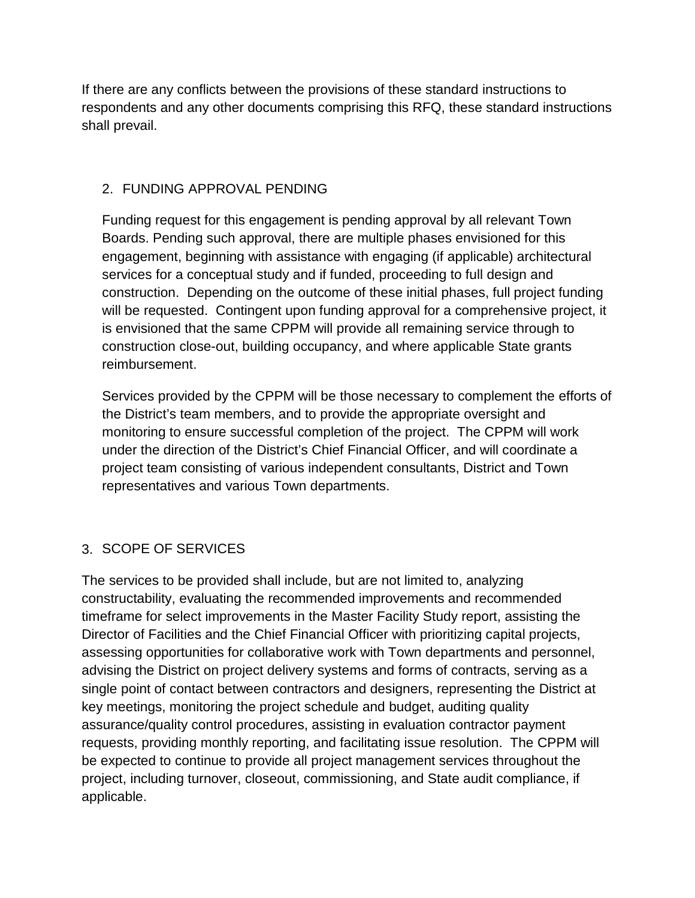If there are any conflicts between the provisions of these standard instructions to respondents and any other documents comprising this RFQ, these standard instructions shall prevail.

## 2. FUNDING APPROVAL PENDING

Funding request for this engagement is pending approval by all relevant Town Boards. Pending such approval, there are multiple phases envisioned for this engagement, beginning with assistance with engaging (if applicable) architectural services for a conceptual study and if funded, proceeding to full design and construction. Depending on the outcome of these initial phases, full project funding will be requested. Contingent upon funding approval for a comprehensive project, it is envisioned that the same CPPM will provide all remaining service through to construction close-out, building occupancy, and where applicable State grants reimbursement.

Services provided by the CPPM will be those necessary to complement the efforts of the District's team members, and to provide the appropriate oversight and monitoring to ensure successful completion of the project. The CPPM will work under the direction of the District's Chief Financial Officer, and will coordinate a project team consisting of various independent consultants, District and Town representatives and various Town departments.

## 3. SCOPE OF SERVICES

The services to be provided shall include, but are not limited to, analyzing constructability, evaluating the recommended improvements and recommended timeframe for select improvements in the Master Facility Study report, assisting the Director of Facilities and the Chief Financial Officer with prioritizing capital projects, assessing opportunities for collaborative work with Town departments and personnel, advising the District on project delivery systems and forms of contracts, serving as a single point of contact between contractors and designers, representing the District at key meetings, monitoring the project schedule and budget, auditing quality assurance/quality control procedures, assisting in evaluation contractor payment requests, providing monthly reporting, and facilitating issue resolution. The CPPM will be expected to continue to provide all project management services throughout the project, including turnover, closeout, commissioning, and State audit compliance, if applicable.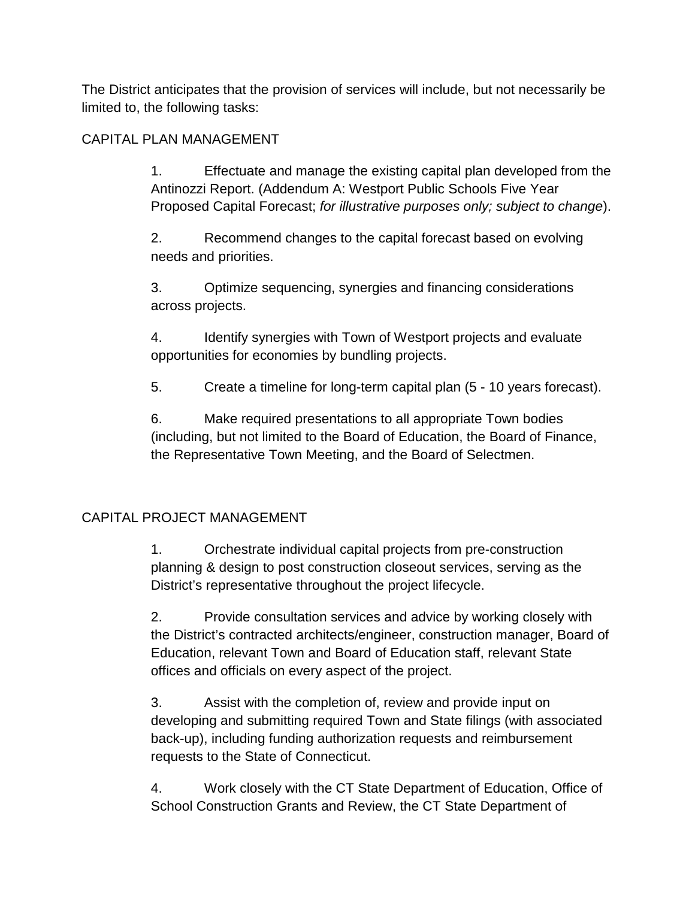The District anticipates that the provision of services will include, but not necessarily be limited to, the following tasks:

## CAPITAL PLAN MANAGEMENT

1. Effectuate and manage the existing capital plan developed from the Antinozzi Report. (Addendum A: Westport Public Schools Five Year Proposed Capital Forecast; *for illustrative purposes only; subject to change*).

2. Recommend changes to the capital forecast based on evolving needs and priorities.

3. Optimize sequencing, synergies and financing considerations across projects.

4. Identify synergies with Town of Westport projects and evaluate opportunities for economies by bundling projects.

5. Create a timeline for long-term capital plan (5 - 10 years forecast).

6. Make required presentations to all appropriate Town bodies (including, but not limited to the Board of Education, the Board of Finance, the Representative Town Meeting, and the Board of Selectmen.

## CAPITAL PROJECT MANAGEMENT

1. Orchestrate individual capital projects from pre-construction planning & design to post construction closeout services, serving as the District's representative throughout the project lifecycle.

2. Provide consultation services and advice by working closely with the District's contracted architects/engineer, construction manager, Board of Education, relevant Town and Board of Education staff, relevant State offices and officials on every aspect of the project.

3. Assist with the completion of, review and provide input on developing and submitting required Town and State filings (with associated back-up), including funding authorization requests and reimbursement requests to the State of Connecticut.

4. Work closely with the CT State Department of Education, Office of School Construction Grants and Review, the CT State Department of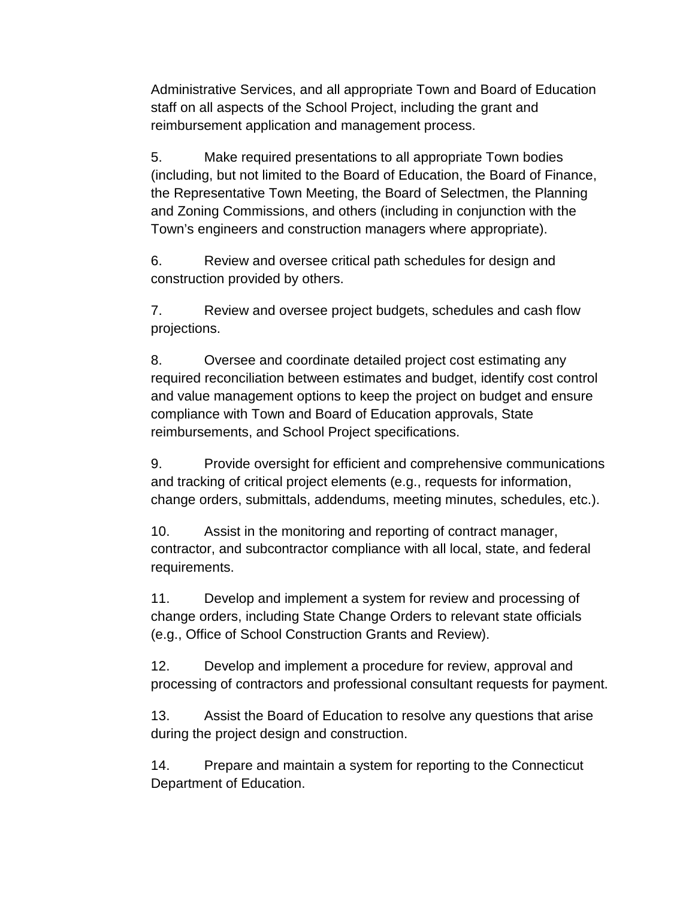Administrative Services, and all appropriate Town and Board of Education staff on all aspects of the School Project, including the grant and reimbursement application and management process.

5. Make required presentations to all appropriate Town bodies (including, but not limited to the Board of Education, the Board of Finance, the Representative Town Meeting, the Board of Selectmen, the Planning and Zoning Commissions, and others (including in conjunction with the Town's engineers and construction managers where appropriate).

6. Review and oversee critical path schedules for design and construction provided by others.

7. Review and oversee project budgets, schedules and cash flow projections.

8. Oversee and coordinate detailed project cost estimating any required reconciliation between estimates and budget, identify cost control and value management options to keep the project on budget and ensure compliance with Town and Board of Education approvals, State reimbursements, and School Project specifications.

9. Provide oversight for efficient and comprehensive communications and tracking of critical project elements (e.g., requests for information, change orders, submittals, addendums, meeting minutes, schedules, etc.).

10. Assist in the monitoring and reporting of contract manager, contractor, and subcontractor compliance with all local, state, and federal requirements.

11. Develop and implement a system for review and processing of change orders, including State Change Orders to relevant state officials (e.g., Office of School Construction Grants and Review).

12. Develop and implement a procedure for review, approval and processing of contractors and professional consultant requests for payment.

13. Assist the Board of Education to resolve any questions that arise during the project design and construction.

14. Prepare and maintain a system for reporting to the Connecticut Department of Education.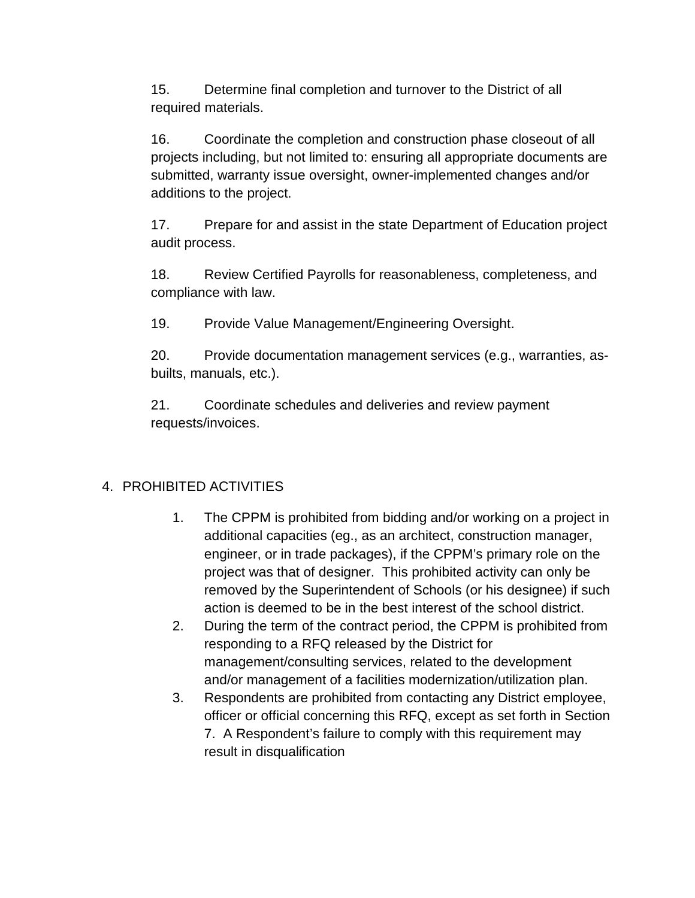15. Determine final completion and turnover to the District of all required materials.

16. Coordinate the completion and construction phase closeout of all projects including, but not limited to: ensuring all appropriate documents are submitted, warranty issue oversight, owner-implemented changes and/or additions to the project.

17. Prepare for and assist in the state Department of Education project audit process.

18. Review Certified Payrolls for reasonableness, completeness, and compliance with law.

19. Provide Value Management/Engineering Oversight.

20. Provide documentation management services (e.g., warranties, asbuilts, manuals, etc.).

21. Coordinate schedules and deliveries and review payment requests/invoices.

# 4. PROHIBITED ACTIVITIES

- 1. The CPPM is prohibited from bidding and/or working on a project in additional capacities (eg., as an architect, construction manager, engineer, or in trade packages), if the CPPM's primary role on the project was that of designer. This prohibited activity can only be removed by the Superintendent of Schools (or his designee) if such action is deemed to be in the best interest of the school district.
- 2. During the term of the contract period, the CPPM is prohibited from responding to a RFQ released by the District for management/consulting services, related to the development and/or management of a facilities modernization/utilization plan.
- 3. Respondents are prohibited from contacting any District employee, officer or official concerning this RFQ, except as set forth in Section 7. A Respondent's failure to comply with this requirement may result in disqualification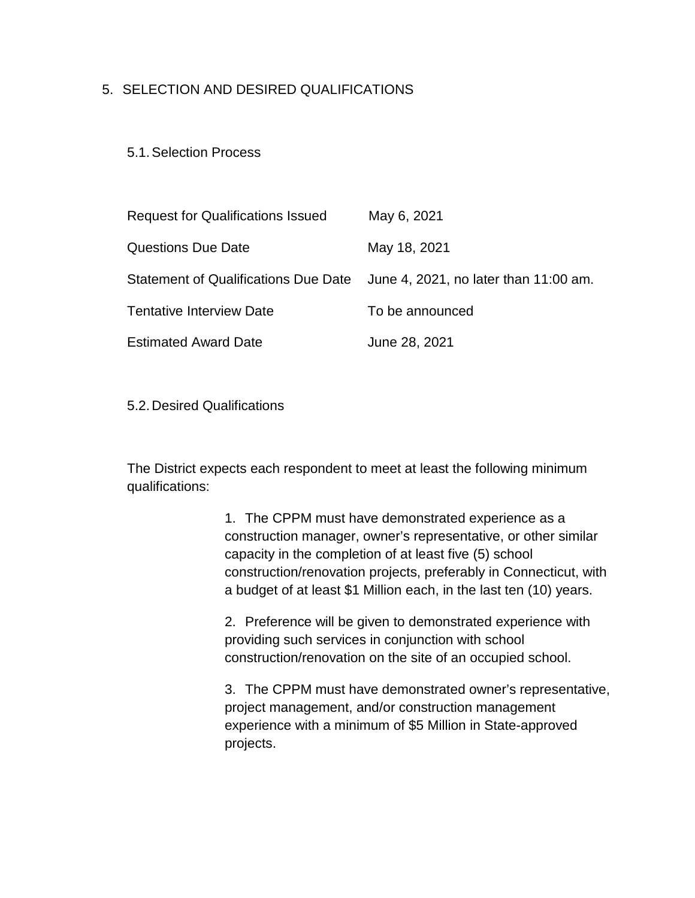## 5. SELECTION AND DESIRED QUALIFICATIONS

#### 5.1.Selection Process

| <b>Request for Qualifications Issued</b> | May 6, 2021                                                                |
|------------------------------------------|----------------------------------------------------------------------------|
| <b>Questions Due Date</b>                | May 18, 2021                                                               |
|                                          | Statement of Qualifications Due Date June 4, 2021, no later than 11:00 am. |
| <b>Tentative Interview Date</b>          | To be announced                                                            |
| <b>Estimated Award Date</b>              | June 28, 2021                                                              |

5.2.Desired Qualifications

The District expects each respondent to meet at least the following minimum qualifications:

> 1. The CPPM must have demonstrated experience as a construction manager, owner's representative, or other similar capacity in the completion of at least five (5) school construction/renovation projects, preferably in Connecticut, with a budget of at least \$1 Million each, in the last ten (10) years.

2. Preference will be given to demonstrated experience with providing such services in conjunction with school construction/renovation on the site of an occupied school.

3. The CPPM must have demonstrated owner's representative, project management, and/or construction management experience with a minimum of \$5 Million in State-approved projects.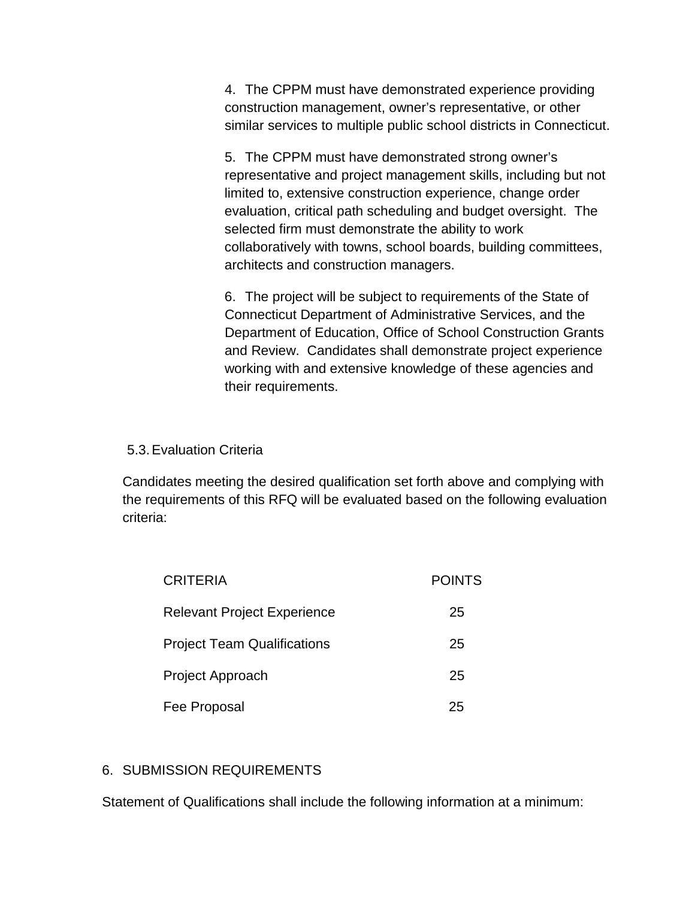4. The CPPM must have demonstrated experience providing construction management, owner's representative, or other similar services to multiple public school districts in Connecticut.

5. The CPPM must have demonstrated strong owner's representative and project management skills, including but not limited to, extensive construction experience, change order evaluation, critical path scheduling and budget oversight. The selected firm must demonstrate the ability to work collaboratively with towns, school boards, building committees, architects and construction managers.

6. The project will be subject to requirements of the State of Connecticut Department of Administrative Services, and the Department of Education, Office of School Construction Grants and Review. Candidates shall demonstrate project experience working with and extensive knowledge of these agencies and their requirements.

#### 5.3.Evaluation Criteria

Candidates meeting the desired qualification set forth above and complying with the requirements of this RFQ will be evaluated based on the following evaluation criteria:

| <b>CRITERIA</b>                    | <b>POINTS</b> |
|------------------------------------|---------------|
| <b>Relevant Project Experience</b> | 25            |
| <b>Project Team Qualifications</b> | 25            |
| Project Approach                   | 25            |
| Fee Proposal                       | 25            |

## 6. SUBMISSION REQUIREMENTS

Statement of Qualifications shall include the following information at a minimum: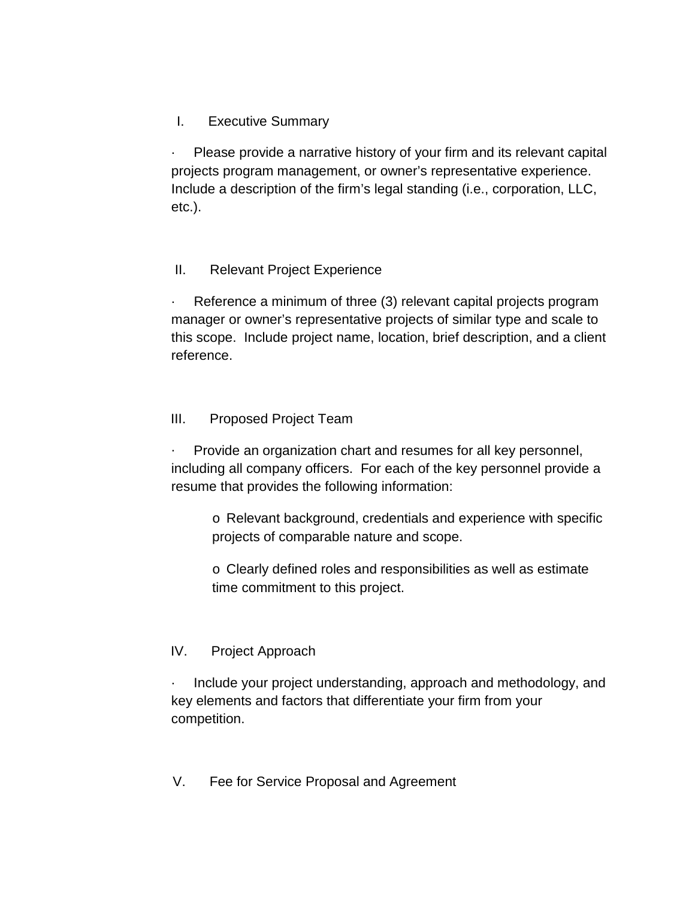## I. Executive Summary

Please provide a narrative history of your firm and its relevant capital projects program management, or owner's representative experience. Include a description of the firm's legal standing (i.e., corporation, LLC, etc.).

#### II. Relevant Project Experience

Reference a minimum of three (3) relevant capital projects program manager or owner's representative projects of similar type and scale to this scope. Include project name, location, brief description, and a client reference.

#### III. Proposed Project Team

Provide an organization chart and resumes for all key personnel, including all company officers. For each of the key personnel provide a resume that provides the following information:

o Relevant background, credentials and experience with specific projects of comparable nature and scope.

o Clearly defined roles and responsibilities as well as estimate time commitment to this project.

#### IV. Project Approach

· Include your project understanding, approach and methodology, and key elements and factors that differentiate your firm from your competition.

#### V. Fee for Service Proposal and Agreement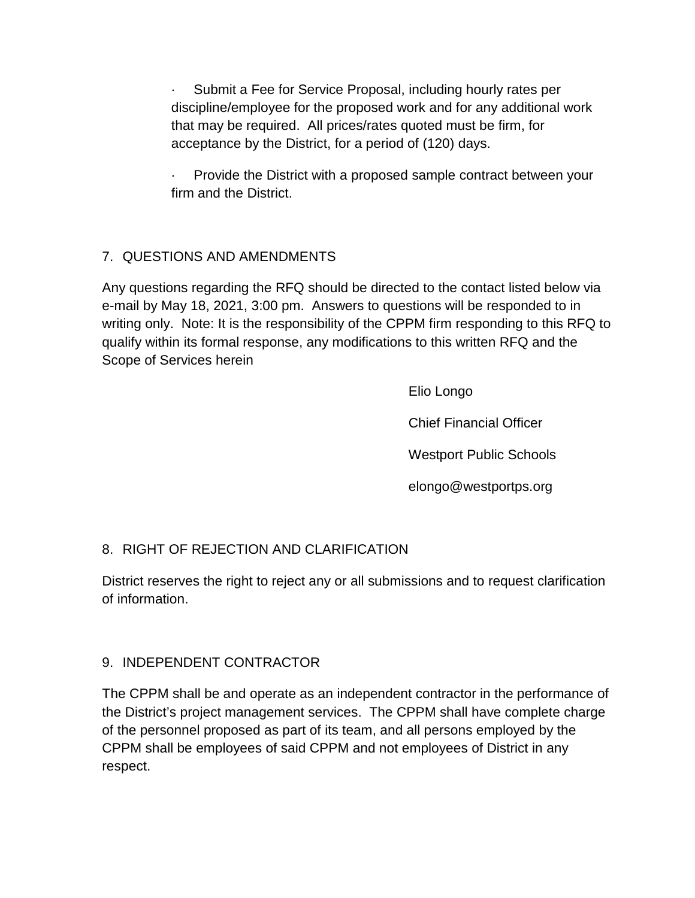Submit a Fee for Service Proposal, including hourly rates per discipline/employee for the proposed work and for any additional work that may be required. All prices/rates quoted must be firm, for acceptance by the District, for a period of (120) days.

· Provide the District with a proposed sample contract between your firm and the District.

## 7. QUESTIONS AND AMENDMENTS

Any questions regarding the RFQ should be directed to the contact listed below via e-mail by May 18, 2021, 3:00 pm. Answers to questions will be responded to in writing only. Note: It is the responsibility of the CPPM firm responding to this RFQ to qualify within its formal response, any modifications to this written RFQ and the Scope of Services herein

Elio Longo

Chief Financial Officer

Westport Public Schools

elongo@westportps.org

## 8. RIGHT OF REJECTION AND CLARIFICATION

District reserves the right to reject any or all submissions and to request clarification of information.

## 9. INDEPENDENT CONTRACTOR

The CPPM shall be and operate as an independent contractor in the performance of the District's project management services. The CPPM shall have complete charge of the personnel proposed as part of its team, and all persons employed by the CPPM shall be employees of said CPPM and not employees of District in any respect.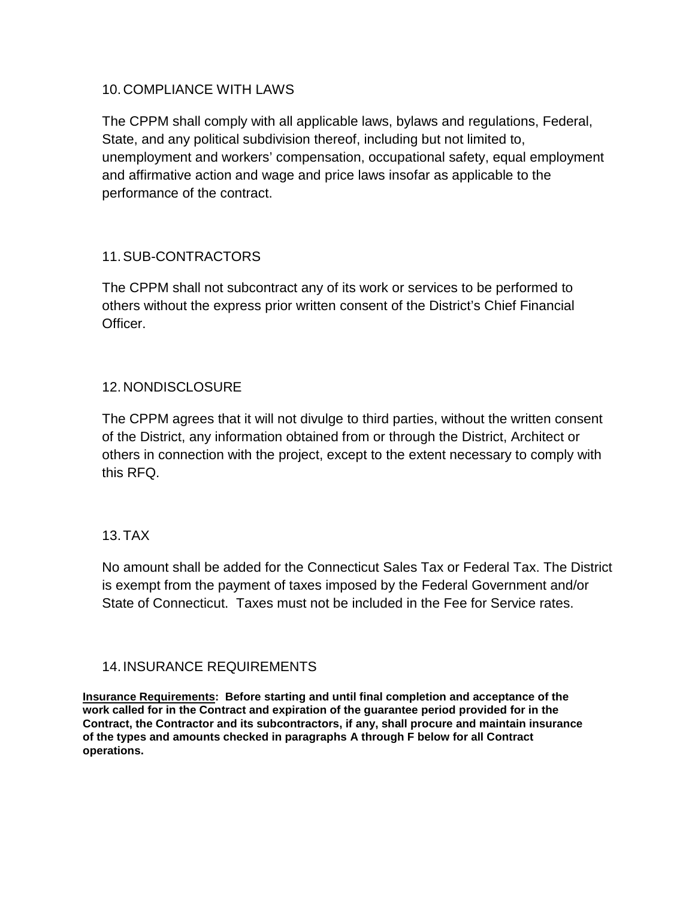#### 10. COMPLIANCE WITH LAWS

The CPPM shall comply with all applicable laws, bylaws and regulations, Federal, State, and any political subdivision thereof, including but not limited to, unemployment and workers' compensation, occupational safety, equal employment and affirmative action and wage and price laws insofar as applicable to the performance of the contract.

## 11.SUB-CONTRACTORS

The CPPM shall not subcontract any of its work or services to be performed to others without the express prior written consent of the District's Chief Financial Officer.

## 12. NONDISCLOSURE

The CPPM agrees that it will not divulge to third parties, without the written consent of the District, any information obtained from or through the District, Architect or others in connection with the project, except to the extent necessary to comply with this RFQ.

## 13.TAX

No amount shall be added for the Connecticut Sales Tax or Federal Tax. The District is exempt from the payment of taxes imposed by the Federal Government and/or State of Connecticut. Taxes must not be included in the Fee for Service rates.

#### 14. INSURANCE REQUIREMENTS

**Insurance Requirements: Before starting and until final completion and acceptance of the work called for in the Contract and expiration of the guarantee period provided for in the Contract, the Contractor and its subcontractors, if any, shall procure and maintain insurance of the types and amounts checked in paragraphs A through F below for all Contract operations.**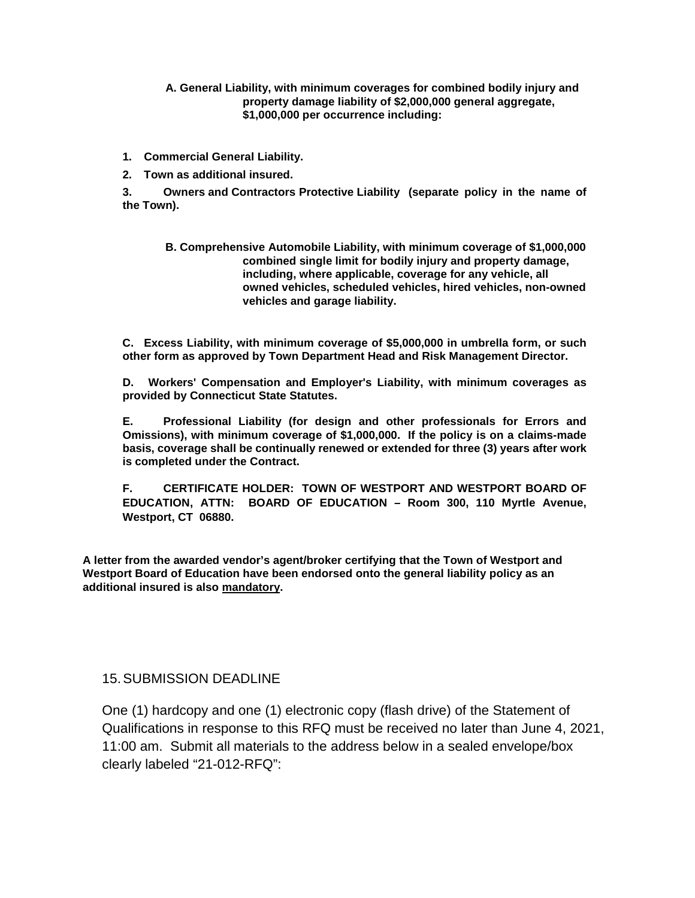**A. General Liability, with minimum coverages for combined bodily injury and property damage liability of \$2,000,000 general aggregate, \$1,000,000 per occurrence including:**

- **1. Commercial General Liability.**
- **2. Town as additional insured.**

**3. Owners and Contractors Protective Liability (separate policy in the name of the Town).**

**B. Comprehensive Automobile Liability, with minimum coverage of \$1,000,000 combined single limit for bodily injury and property damage, including, where applicable, coverage for any vehicle, all owned vehicles, scheduled vehicles, hired vehicles, non-owned vehicles and garage liability.**

**C. Excess Liability, with minimum coverage of \$5,000,000 in umbrella form, or such other form as approved by Town Department Head and Risk Management Director.**

**D. Workers' Compensation and Employer's Liability, with minimum coverages as provided by Connecticut State Statutes.**

**E. Professional Liability (for design and other professionals for Errors and Omissions), with minimum coverage of \$1,000,000. If the policy is on a claims-made basis, coverage shall be continually renewed or extended for three (3) years after work is completed under the Contract.**

**F. CERTIFICATE HOLDER: TOWN OF WESTPORT AND WESTPORT BOARD OF EDUCATION, ATTN: BOARD OF EDUCATION – Room 300, 110 Myrtle Avenue, Westport, CT 06880.**

**A letter from the awarded vendor's agent/broker certifying that the Town of Westport and Westport Board of Education have been endorsed onto the general liability policy as an additional insured is also mandatory.**

#### 15.SUBMISSION DEADLINE

One (1) hardcopy and one (1) electronic copy (flash drive) of the Statement of Qualifications in response to this RFQ must be received no later than June 4, 2021, 11:00 am. Submit all materials to the address below in a sealed envelope/box clearly labeled "21-012-RFQ":